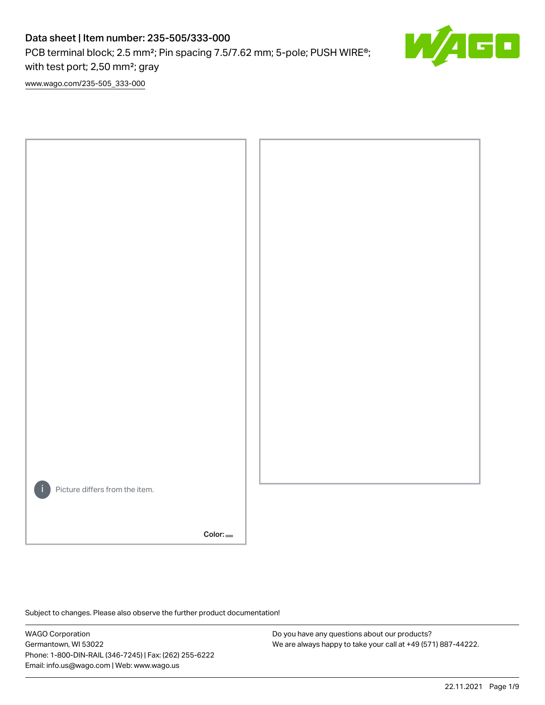PCB terminal block; 2.5 mm<sup>2</sup>; Pin spacing 7.5/7.62 mm; 5-pole; PUSH WIRE<sup>®</sup>; with test port; 2,50 mm²; gray



[www.wago.com/235-505\\_333-000](http://www.wago.com/235-505_333-000)



Subject to changes. Please also observe the further product documentation!

WAGO Corporation Germantown, WI 53022 Phone: 1-800-DIN-RAIL (346-7245) | Fax: (262) 255-6222 Email: info.us@wago.com | Web: www.wago.us

Do you have any questions about our products? We are always happy to take your call at +49 (571) 887-44222.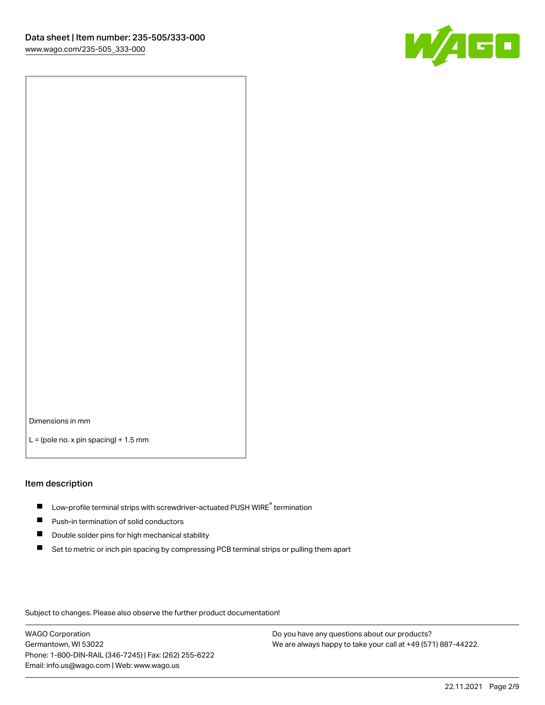

Dimensions in mm

 $L =$  (pole no. x pin spacing) + 1.5 mm

#### Item description

- $\blacksquare$  Low-profile terminal strips with screwdriver-actuated PUSH WIRE<sup>®</sup> termination
- **Push-in termination of solid conductors**
- $\blacksquare$ Double solder pins for high mechanical stability
- П Set to metric or inch pin spacing by compressing PCB terminal strips or pulling them apart

Subject to changes. Please also observe the further product documentation!

WAGO Corporation Germantown, WI 53022 Phone: 1-800-DIN-RAIL (346-7245) | Fax: (262) 255-6222 Email: info.us@wago.com | Web: www.wago.us

Do you have any questions about our products? We are always happy to take your call at +49 (571) 887-44222.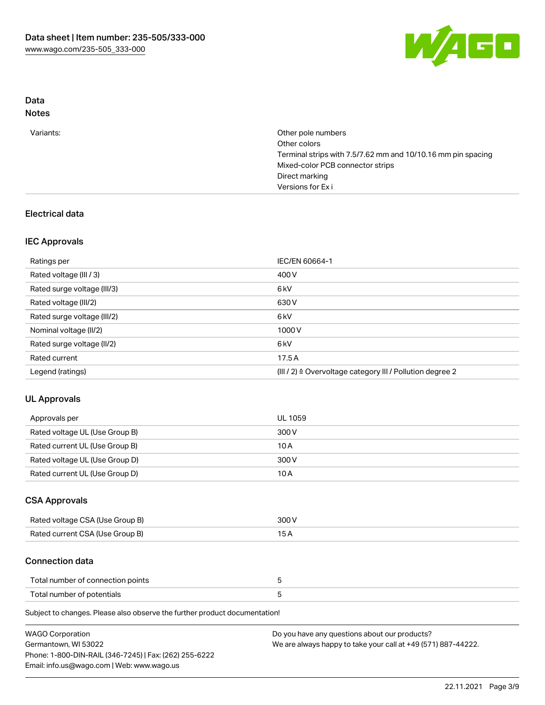

# Data

| Notes |
|-------|
|-------|

|  | Variants: | Other pole numbers<br>Other colors<br>Terminal strips with 7.5/7.62 mm and 10/10.16 mm pin spacing<br>Mixed-color PCB connector strips<br>Direct marking<br>Versions for Exi |
|--|-----------|------------------------------------------------------------------------------------------------------------------------------------------------------------------------------|
|--|-----------|------------------------------------------------------------------------------------------------------------------------------------------------------------------------------|

## Electrical data

### IEC Approvals

| Ratings per                 | IEC/EN 60664-1                                            |
|-----------------------------|-----------------------------------------------------------|
| Rated voltage (III / 3)     | 400 V                                                     |
| Rated surge voltage (III/3) | 6 <sub>k</sub> V                                          |
| Rated voltage (III/2)       | 630 V                                                     |
| Rated surge voltage (III/2) | 6 <sub>k</sub> V                                          |
| Nominal voltage (II/2)      | 1000V                                                     |
| Rated surge voltage (II/2)  | 6 <sub>k</sub> V                                          |
| Rated current               | 17.5A                                                     |
| Legend (ratings)            | (III / 2) ≙ Overvoltage category III / Pollution degree 2 |

#### UL Approvals

| Approvals per                  | UL 1059 |
|--------------------------------|---------|
| Rated voltage UL (Use Group B) | 300 V   |
| Rated current UL (Use Group B) | 10 A    |
| Rated voltage UL (Use Group D) | 300 V   |
| Rated current UL (Use Group D) | 10 A    |

### CSA Approvals

| Rated voltage CSA (Use Group B) | 300 V |
|---------------------------------|-------|
| Rated current CSA (Use Group B) |       |

#### Connection data

| Total number of connection points |  |
|-----------------------------------|--|
| Total number of potentials        |  |

Subject to changes. Please also observe the further product documentation!

| <b>WAGO Corporation</b>                                | Do you have any questions about our products?                 |
|--------------------------------------------------------|---------------------------------------------------------------|
| Germantown, WI 53022                                   | We are always happy to take your call at +49 (571) 887-44222. |
| Phone: 1-800-DIN-RAIL (346-7245)   Fax: (262) 255-6222 |                                                               |
| Email: info.us@wago.com   Web: www.wago.us             |                                                               |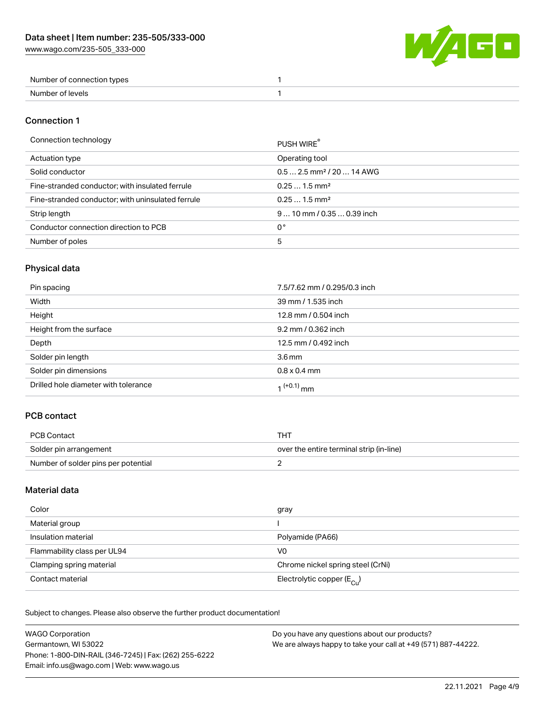W/4GO

| Number of connection types |  |
|----------------------------|--|
| Number of levels           |  |

#### Connection 1

#### Connection technology PUSH WIRE®

|                                                   | <b>PUSH WIRE</b>                       |
|---------------------------------------------------|----------------------------------------|
| Actuation type                                    | Operating tool                         |
| Solid conductor                                   | $0.5$ 2.5 mm <sup>2</sup> / 20  14 AWG |
| Fine-stranded conductor; with insulated ferrule   | $0.251.5$ mm <sup>2</sup>              |
| Fine-stranded conductor; with uninsulated ferrule | $0.251.5$ mm <sup>2</sup>              |
| Strip length                                      | 9  10 mm / 0.35  0.39 inch             |
| Conductor connection direction to PCB             | 0°                                     |
| Number of poles                                   | 5                                      |
|                                                   |                                        |

## Physical data

| Pin spacing                          | 7.5/7.62 mm / 0.295/0.3 inch |
|--------------------------------------|------------------------------|
| Width                                | 39 mm / 1.535 inch           |
| Height                               | 12.8 mm / 0.504 inch         |
| Height from the surface              | 9.2 mm / 0.362 inch          |
| Depth                                | 12.5 mm / 0.492 inch         |
| Solder pin length                    | $3.6 \,\mathrm{mm}$          |
| Solder pin dimensions                | $0.8 \times 0.4$ mm          |
| Drilled hole diameter with tolerance | $1^{(+0.1)}$ mm              |

### PCB contact

| PCB Contact                         | тнт                                      |
|-------------------------------------|------------------------------------------|
| Solder pin arrangement              | over the entire terminal strip (in-line) |
| Number of solder pins per potential |                                          |

### Material data

| Color                       | gray                                    |
|-----------------------------|-----------------------------------------|
| Material group              |                                         |
| Insulation material         | Polyamide (PA66)                        |
| Flammability class per UL94 | V0                                      |
| Clamping spring material    | Chrome nickel spring steel (CrNi)       |
| Contact material            | Electrolytic copper ( $E_{\text{Cl}}$ ) |

Subject to changes. Please also observe the further product documentation!

| <b>WAGO Corporation</b>                                | Do you have any questions about our products?                 |
|--------------------------------------------------------|---------------------------------------------------------------|
| Germantown, WI 53022                                   | We are always happy to take your call at +49 (571) 887-44222. |
| Phone: 1-800-DIN-RAIL (346-7245)   Fax: (262) 255-6222 |                                                               |
| Email: info.us@wago.com   Web: www.wago.us             |                                                               |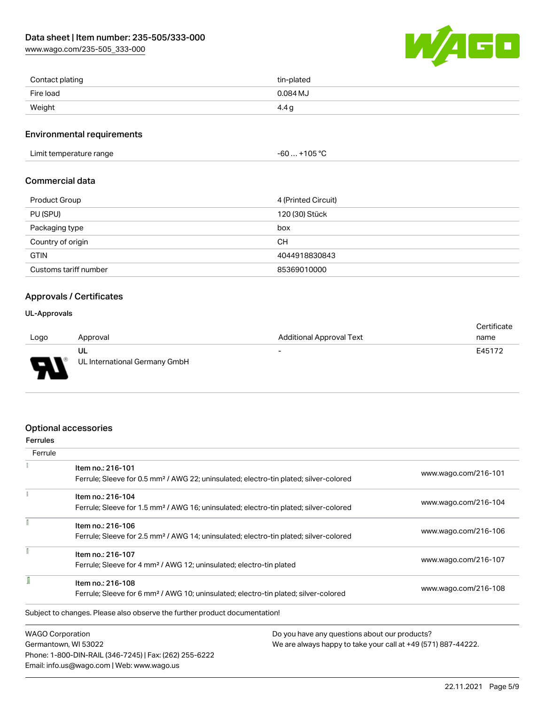[www.wago.com/235-505\\_333-000](http://www.wago.com/235-505_333-000)



| Contact plating | tin-plated |
|-----------------|------------|
| Fire load       | 0.084 MJ   |
| Weight          | 4.4 g      |

#### Environmental requirements

Limit temperature range  $-60... +105$  °C

#### Commercial data

| Product Group         | 4 (Printed Circuit) |
|-----------------------|---------------------|
| PU (SPU)              | 120 (30) Stück      |
| Packaging type        | box                 |
| Country of origin     | <b>CH</b>           |
| <b>GTIN</b>           | 4044918830843       |
| Customs tariff number | 85369010000         |

#### Approvals / Certificates

#### UL-Approvals

773

|      |                               |                                 | Certificate |
|------|-------------------------------|---------------------------------|-------------|
| Logo | Approval                      | <b>Additional Approval Text</b> | name        |
|      | UL                            | -                               | E45172      |
| J    | UL International Germany GmbH |                                 |             |
|      |                               |                                 |             |

### Optional accessories

Email: info.us@wago.com | Web: www.wago.us

| <b>Ferrules</b>         |                                                                                                                        |                                               |                                                               |  |
|-------------------------|------------------------------------------------------------------------------------------------------------------------|-----------------------------------------------|---------------------------------------------------------------|--|
| Ferrule                 |                                                                                                                        |                                               |                                                               |  |
|                         | Item no.: 216-101<br>Ferrule; Sleeve for 0.5 mm <sup>2</sup> / AWG 22; uninsulated; electro-tin plated; silver-colored |                                               | www.wago.com/216-101                                          |  |
|                         |                                                                                                                        |                                               |                                                               |  |
|                         | Item no.: 216-104                                                                                                      |                                               |                                                               |  |
|                         | Ferrule; Sleeve for 1.5 mm <sup>2</sup> / AWG 16; uninsulated; electro-tin plated; silver-colored                      |                                               | www.wago.com/216-104                                          |  |
|                         | Item no.: 216-106                                                                                                      |                                               | www.wago.com/216-106                                          |  |
|                         | Ferrule; Sleeve for 2.5 mm <sup>2</sup> / AWG 14; uninsulated; electro-tin plated; silver-colored                      |                                               |                                                               |  |
|                         | Item no.: 216-107                                                                                                      |                                               |                                                               |  |
|                         | Ferrule; Sleeve for 4 mm <sup>2</sup> / AWG 12; uninsulated; electro-tin plated                                        |                                               | www.wago.com/216-107                                          |  |
|                         | Item no.: 216-108                                                                                                      |                                               |                                                               |  |
|                         | Ferrule; Sleeve for 6 mm <sup>2</sup> / AWG 10; uninsulated; electro-tin plated; silver-colored                        |                                               | www.wago.com/216-108                                          |  |
|                         | Subject to changes. Please also observe the further product documentation!                                             |                                               |                                                               |  |
| <b>WAGO Corporation</b> |                                                                                                                        | Do you have any questions about our products? |                                                               |  |
| Germantown, WI 53022    |                                                                                                                        |                                               | We are always happy to take your call at +49 (571) 887-44222. |  |
|                         | Phone: 1-800-DIN-RAIL (346-7245)   Fax: (262) 255-6222                                                                 |                                               |                                                               |  |

22.11.2021 Page 5/9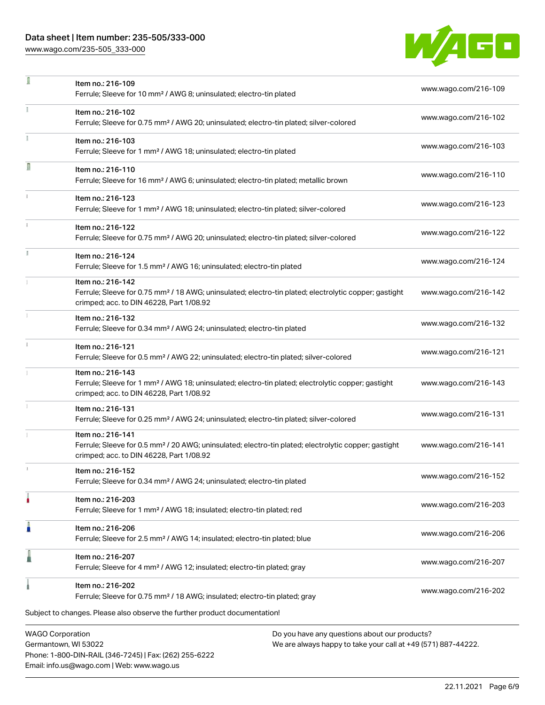Phone: 1-800-DIN-RAIL (346-7245) | Fax: (262) 255-6222

Email: info.us@wago.com | Web: www.wago.us

[www.wago.com/235-505\\_333-000](http://www.wago.com/235-505_333-000)

÷,



| ı | Item no.: 216-109<br>Ferrule; Sleeve for 10 mm <sup>2</sup> / AWG 8; uninsulated; electro-tin plated                                                                               |                                                                                                                | www.wago.com/216-109 |
|---|------------------------------------------------------------------------------------------------------------------------------------------------------------------------------------|----------------------------------------------------------------------------------------------------------------|----------------------|
|   | Item no.: 216-102<br>Ferrule; Sleeve for 0.75 mm <sup>2</sup> / AWG 20; uninsulated; electro-tin plated; silver-colored                                                            |                                                                                                                | www.wago.com/216-102 |
|   | Item no.: 216-103<br>Ferrule; Sleeve for 1 mm <sup>2</sup> / AWG 18; uninsulated; electro-tin plated                                                                               |                                                                                                                | www.wago.com/216-103 |
| Ω | Item no.: 216-110<br>Ferrule; Sleeve for 16 mm <sup>2</sup> / AWG 6; uninsulated; electro-tin plated; metallic brown                                                               |                                                                                                                | www.wago.com/216-110 |
|   | Item no.: 216-123<br>Ferrule; Sleeve for 1 mm <sup>2</sup> / AWG 18; uninsulated; electro-tin plated; silver-colored                                                               |                                                                                                                | www.wago.com/216-123 |
|   | Item no.: 216-122<br>Ferrule; Sleeve for 0.75 mm <sup>2</sup> / AWG 20; uninsulated; electro-tin plated; silver-colored                                                            |                                                                                                                | www.wago.com/216-122 |
|   | Item no.: 216-124<br>Ferrule; Sleeve for 1.5 mm <sup>2</sup> / AWG 16; uninsulated; electro-tin plated                                                                             |                                                                                                                | www.wago.com/216-124 |
|   | Item no.: 216-142<br>Ferrule; Sleeve for 0.75 mm <sup>2</sup> / 18 AWG; uninsulated; electro-tin plated; electrolytic copper; gastight<br>crimped; acc. to DIN 46228, Part 1/08.92 |                                                                                                                | www.wago.com/216-142 |
|   | Item no.: 216-132<br>Ferrule; Sleeve for 0.34 mm <sup>2</sup> / AWG 24; uninsulated; electro-tin plated                                                                            |                                                                                                                | www.wago.com/216-132 |
|   | Item no.: 216-121<br>Ferrule; Sleeve for 0.5 mm <sup>2</sup> / AWG 22; uninsulated; electro-tin plated; silver-colored                                                             |                                                                                                                | www.wago.com/216-121 |
|   | Item no.: 216-143<br>Ferrule; Sleeve for 1 mm <sup>2</sup> / AWG 18; uninsulated; electro-tin plated; electrolytic copper; gastight<br>crimped; acc. to DIN 46228, Part 1/08.92    |                                                                                                                | www.wago.com/216-143 |
|   | Item no.: 216-131<br>Ferrule; Sleeve for 0.25 mm <sup>2</sup> / AWG 24; uninsulated; electro-tin plated; silver-colored                                                            |                                                                                                                | www.wago.com/216-131 |
|   | Item no.: 216-141<br>Ferrule; Sleeve for 0.5 mm <sup>2</sup> / 20 AWG; uninsulated; electro-tin plated; electrolytic copper; gastight<br>crimped; acc. to DIN 46228, Part 1/08.92  |                                                                                                                | www.wago.com/216-141 |
|   | Item no.: 216-152<br>Ferrule; Sleeve for 0.34 mm <sup>2</sup> / AWG 24; uninsulated; electro-tin plated                                                                            |                                                                                                                | www.wago.com/216-152 |
|   | Item no.: 216-203<br>Ferrule; Sleeve for 1 mm <sup>2</sup> / AWG 18; insulated; electro-tin plated; red                                                                            |                                                                                                                | www.wago.com/216-203 |
|   | Item no.: 216-206<br>Ferrule; Sleeve for 2.5 mm <sup>2</sup> / AWG 14; insulated; electro-tin plated; blue                                                                         |                                                                                                                | www.wago.com/216-206 |
|   | Item no.: 216-207<br>Ferrule; Sleeve for 4 mm <sup>2</sup> / AWG 12; insulated; electro-tin plated; gray                                                                           |                                                                                                                | www.wago.com/216-207 |
|   | Item no.: 216-202<br>Ferrule; Sleeve for 0.75 mm <sup>2</sup> / 18 AWG; insulated; electro-tin plated; gray                                                                        |                                                                                                                | www.wago.com/216-202 |
|   | Subject to changes. Please also observe the further product documentation!                                                                                                         |                                                                                                                |                      |
|   | <b>WAGO Corporation</b><br>Germantown, WI 53022                                                                                                                                    | Do you have any questions about our products?<br>We are always happy to take your call at +49 (571) 887-44222. |                      |

22.11.2021 Page 6/9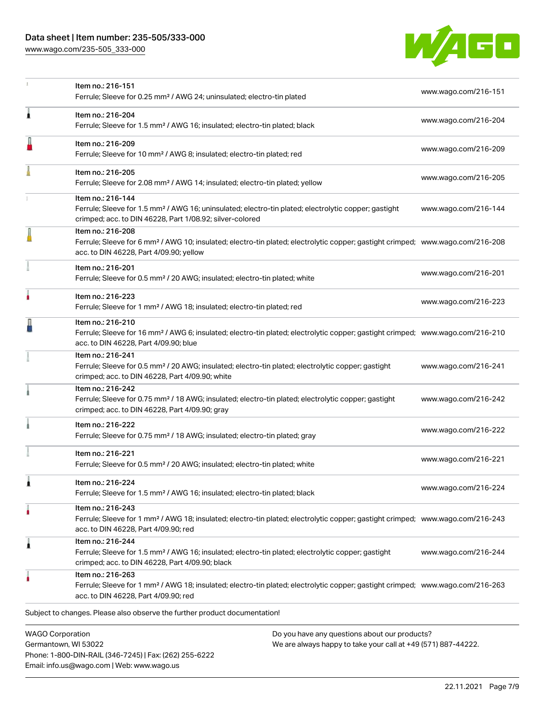[www.wago.com/235-505\\_333-000](http://www.wago.com/235-505_333-000)

Email: info.us@wago.com | Web: www.wago.us



|                                                 | Item no.: 216-151<br>Ferrule; Sleeve for 0.25 mm <sup>2</sup> / AWG 24; uninsulated; electro-tin plated                                                                                                    |                                                                                                                | www.wago.com/216-151 |
|-------------------------------------------------|------------------------------------------------------------------------------------------------------------------------------------------------------------------------------------------------------------|----------------------------------------------------------------------------------------------------------------|----------------------|
| ٨                                               | Item no.: 216-204<br>Ferrule; Sleeve for 1.5 mm <sup>2</sup> / AWG 16; insulated; electro-tin plated; black                                                                                                |                                                                                                                | www.wago.com/216-204 |
|                                                 | Item no.: 216-209<br>Ferrule; Sleeve for 10 mm <sup>2</sup> / AWG 8; insulated; electro-tin plated; red                                                                                                    |                                                                                                                | www.wago.com/216-209 |
|                                                 | Item no.: 216-205<br>Ferrule; Sleeve for 2.08 mm <sup>2</sup> / AWG 14; insulated; electro-tin plated; yellow                                                                                              |                                                                                                                | www.wago.com/216-205 |
|                                                 | Item no.: 216-144<br>Ferrule; Sleeve for 1.5 mm <sup>2</sup> / AWG 16; uninsulated; electro-tin plated; electrolytic copper; gastight<br>crimped; acc. to DIN 46228, Part 1/08.92; silver-colored          |                                                                                                                | www.wago.com/216-144 |
|                                                 | Item no.: 216-208<br>Ferrule; Sleeve for 6 mm <sup>2</sup> / AWG 10; insulated; electro-tin plated; electrolytic copper; gastight crimped; www.wago.com/216-208<br>acc. to DIN 46228, Part 4/09.90; yellow |                                                                                                                |                      |
|                                                 | Item no.: 216-201<br>Ferrule; Sleeve for 0.5 mm <sup>2</sup> / 20 AWG; insulated; electro-tin plated; white                                                                                                |                                                                                                                | www.wago.com/216-201 |
|                                                 | Item no.: 216-223<br>Ferrule; Sleeve for 1 mm <sup>2</sup> / AWG 18; insulated; electro-tin plated; red                                                                                                    |                                                                                                                | www.wago.com/216-223 |
|                                                 | Item no.: 216-210<br>Ferrule; Sleeve for 16 mm <sup>2</sup> / AWG 6; insulated; electro-tin plated; electrolytic copper; gastight crimped; www.wago.com/216-210<br>acc. to DIN 46228, Part 4/09.90; blue   |                                                                                                                |                      |
|                                                 | Item no.: 216-241<br>Ferrule; Sleeve for 0.5 mm <sup>2</sup> / 20 AWG; insulated; electro-tin plated; electrolytic copper; gastight<br>crimped; acc. to DIN 46228, Part 4/09.90; white                     |                                                                                                                | www.wago.com/216-241 |
|                                                 | Item no.: 216-242<br>Ferrule; Sleeve for 0.75 mm <sup>2</sup> / 18 AWG; insulated; electro-tin plated; electrolytic copper; gastight<br>crimped; acc. to DIN 46228, Part 4/09.90; gray                     |                                                                                                                | www.wago.com/216-242 |
|                                                 | Item no.: 216-222<br>Ferrule; Sleeve for 0.75 mm <sup>2</sup> / 18 AWG; insulated; electro-tin plated; gray                                                                                                |                                                                                                                | www.wago.com/216-222 |
|                                                 | Item no.: 216-221<br>Ferrule; Sleeve for 0.5 mm <sup>2</sup> / 20 AWG; insulated; electro-tin plated; white                                                                                                |                                                                                                                | www.wago.com/216-221 |
|                                                 | Item no.: 216-224<br>Ferrule; Sleeve for 1.5 mm <sup>2</sup> / AWG 16; insulated; electro-tin plated; black                                                                                                |                                                                                                                | www.wago.com/216-224 |
|                                                 | Item no.: 216-243<br>Ferrule; Sleeve for 1 mm <sup>2</sup> / AWG 18; insulated; electro-tin plated; electrolytic copper; gastight crimped; www.wago.com/216-243<br>acc. to DIN 46228, Part 4/09.90; red    |                                                                                                                |                      |
| 1                                               | Item no.: 216-244<br>Ferrule; Sleeve for 1.5 mm <sup>2</sup> / AWG 16; insulated; electro-tin plated; electrolytic copper; gastight<br>crimped; acc. to DIN 46228, Part 4/09.90; black                     |                                                                                                                | www.wago.com/216-244 |
|                                                 | Item no.: 216-263<br>Ferrule; Sleeve for 1 mm <sup>2</sup> / AWG 18; insulated; electro-tin plated; electrolytic copper; gastight crimped; www.wago.com/216-263<br>acc. to DIN 46228, Part 4/09.90; red    |                                                                                                                |                      |
|                                                 | Subject to changes. Please also observe the further product documentation!                                                                                                                                 |                                                                                                                |                      |
| <b>WAGO Corporation</b><br>Germantown, WI 53022 | Phone: 1-800-DIN-RAIL (346-7245)   Fax: (262) 255-6222                                                                                                                                                     | Do you have any questions about our products?<br>We are always happy to take your call at +49 (571) 887-44222. |                      |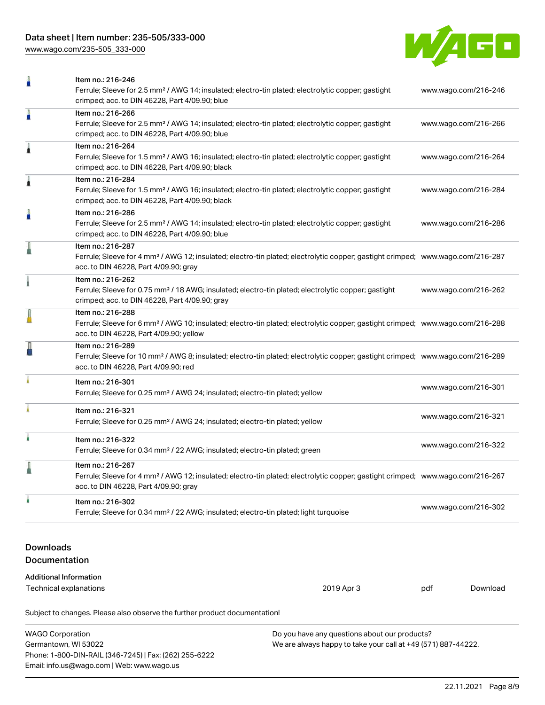[www.wago.com/235-505\\_333-000](http://www.wago.com/235-505_333-000)



| ñ                                                                          | Item no.: 216-246<br>Ferrule; Sleeve for 2.5 mm <sup>2</sup> / AWG 14; insulated; electro-tin plated; electrolytic copper; gastight<br>crimped; acc. to DIN 46228, Part 4/09.90; blue                          |            |                      | www.wago.com/216-246 |  |
|----------------------------------------------------------------------------|----------------------------------------------------------------------------------------------------------------------------------------------------------------------------------------------------------------|------------|----------------------|----------------------|--|
| A                                                                          | Item no.: 216-266<br>Ferrule; Sleeve for 2.5 mm <sup>2</sup> / AWG 14; insulated; electro-tin plated; electrolytic copper; gastight<br>crimped; acc. to DIN 46228, Part 4/09.90; blue                          |            |                      | www.wago.com/216-266 |  |
| 1                                                                          | Item no.: 216-264<br>Ferrule; Sleeve for 1.5 mm <sup>2</sup> / AWG 16; insulated; electro-tin plated; electrolytic copper; gastight<br>crimped; acc. to DIN 46228, Part 4/09.90; black                         |            |                      | www.wago.com/216-264 |  |
| Â                                                                          | Item no.: 216-284<br>Ferrule; Sleeve for 1.5 mm <sup>2</sup> / AWG 16; insulated; electro-tin plated; electrolytic copper; gastight<br>crimped; acc. to DIN 46228, Part 4/09.90; black                         |            |                      | www.wago.com/216-284 |  |
| A                                                                          | Item no.: 216-286<br>Ferrule; Sleeve for 2.5 mm <sup>2</sup> / AWG 14; insulated; electro-tin plated; electrolytic copper; gastight<br>crimped; acc. to DIN 46228, Part 4/09.90; blue                          |            |                      | www.wago.com/216-286 |  |
|                                                                            | Item no.: 216-287<br>Ferrule; Sleeve for 4 mm <sup>2</sup> / AWG 12; insulated; electro-tin plated; electrolytic copper; gastight crimped; www.wago.com/216-287<br>acc. to DIN 46228, Part 4/09.90; gray       |            |                      |                      |  |
|                                                                            | Item no.: 216-262<br>Ferrule; Sleeve for 0.75 mm <sup>2</sup> / 18 AWG; insulated; electro-tin plated; electrolytic copper; gastight<br>www.wago.com/216-262<br>crimped; acc. to DIN 46228, Part 4/09.90; gray |            |                      |                      |  |
|                                                                            | Item no.: 216-288<br>Ferrule; Sleeve for 6 mm <sup>2</sup> / AWG 10; insulated; electro-tin plated; electrolytic copper; gastight crimped; www.wago.com/216-288<br>acc. to DIN 46228, Part 4/09.90; yellow     |            |                      |                      |  |
|                                                                            | Item no.: 216-289<br>Ferrule; Sleeve for 10 mm <sup>2</sup> / AWG 8; insulated; electro-tin plated; electrolytic copper; gastight crimped; www.wago.com/216-289<br>acc. to DIN 46228, Part 4/09.90; red        |            |                      |                      |  |
|                                                                            | Item no.: 216-301<br>Ferrule; Sleeve for 0.25 mm <sup>2</sup> / AWG 24; insulated; electro-tin plated; yellow                                                                                                  |            | www.wago.com/216-301 |                      |  |
|                                                                            | Item no.: 216-321<br>Ferrule; Sleeve for 0.25 mm <sup>2</sup> / AWG 24; insulated; electro-tin plated; yellow                                                                                                  |            | www.wago.com/216-321 |                      |  |
| ٠                                                                          | Item no.: 216-322<br>Ferrule; Sleeve for 0.34 mm <sup>2</sup> / 22 AWG; insulated; electro-tin plated; green                                                                                                   |            | www.wago.com/216-322 |                      |  |
|                                                                            | Item no.: 216-267<br>Ferrule; Sleeve for 4 mm <sup>2</sup> / AWG 12; insulated; electro-tin plated; electrolytic copper; gastight crimped; www.wago.com/216-267<br>acc. to DIN 46228, Part 4/09.90; gray       |            |                      |                      |  |
|                                                                            | Item no.: 216-302<br>Ferrule; Sleeve for 0.34 mm <sup>2</sup> / 22 AWG; insulated; electro-tin plated; light turquoise                                                                                         |            | www.wago.com/216-302 |                      |  |
| <b>Downloads</b><br>Documentation                                          |                                                                                                                                                                                                                |            |                      |                      |  |
| <b>Additional Information</b>                                              |                                                                                                                                                                                                                |            |                      |                      |  |
| Technical explanations                                                     |                                                                                                                                                                                                                | 2019 Apr 3 | pdf                  | Download             |  |
| Subject to changes. Please also observe the further product documentation! |                                                                                                                                                                                                                |            |                      |                      |  |

| <b>WAGO Corporation</b>                                | Do you have any questions about our products?                 |
|--------------------------------------------------------|---------------------------------------------------------------|
| Germantown, WI 53022                                   | We are always happy to take your call at +49 (571) 887-44222. |
| Phone: 1-800-DIN-RAIL (346-7245)   Fax: (262) 255-6222 |                                                               |
| Email: info.us@wago.com   Web: www.wago.us             |                                                               |